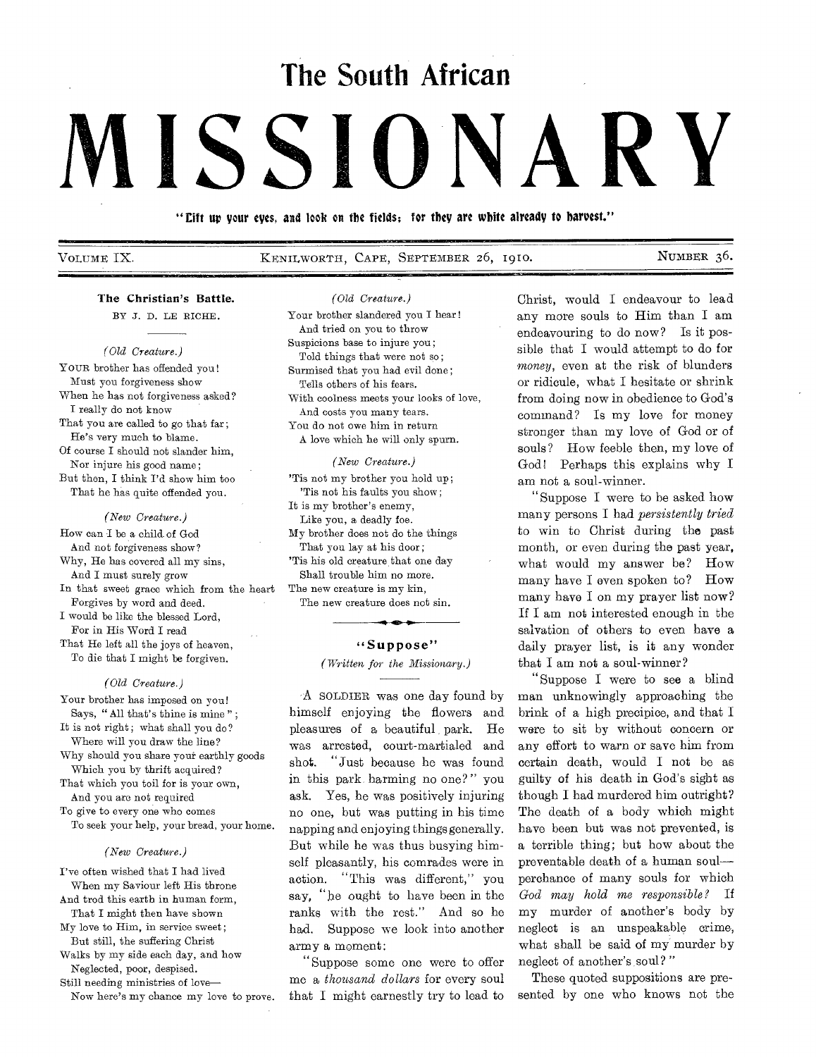# **The South African**

# **MISSIONARY**

"lift up your eyes, and look on the fields; for they are white already to harvest."

VOLUME IX. KENILWORTH, CAPE, SEPTEMBER 26, i9io. NUMBER 36.

# The Christian's Battle.

BY J. D. LE RICHE.

# *( Old Creature.)*

YOUR brother has offended you! Must you forgiveness show When he has not forgiveness asked? I really do not know That you are called to go that far: He's very much to blame. Of course I should not slander him, Nor injure his good name; But then, I think I'd show him too That he has quite offended you.

#### *(New Creature.)*

How can I be a child of God And not forgiveness show? Why, He has covered all my sins, And I must surely grow In that sweet grace which from the heart Forgives by word and deed. I would be like the blessed Lord, For in His Word I read That He left all the joys of heaven, To die that I might be forgiven.

#### *(Old Creature.)*

Your brother has imposed on you! Says, " All that's thine is mine " ; It is not right; what shall you do?

Where will you draw the line? Why should you share your earthly goods

Which you by thrift acquired? That which you toil for is your own,

And you are not required To give to every one who comes

To seek your help, your bread, your home.

#### *(New Creature.)*

I've often wished that I had lived When my Saviour left His throne And trod this earth in human form, That I might then have shown

My love to Him, in service sweet ; But still, the suffering Christ

Walks by my side each day, and how Neglected, poor, despised.

Still needing ministries of love— Now here's my chance my love to prove. *(Old Creature.)* 

Your brother slandered you I hear! And tried on you to throw Suspicions base to injure you; Told things that were not so; Surmised that you had evil done; Tells others of his fears. With coolness meets your looks of love, And costs you many tears. You do not owe him in return A love which he will only spurn.

#### *(New Creature.)*

'Tis not my brother you hold up; 'Tis not his faults you show; It is my brother's enemy, Like you, a deadly foe. My brother does not do the things That you lay at his door; 'Tis his old creature that one day Shall trouble him no more. The new creature is my kin,

The new creature does not sin.

### "Suppose"

# *(Written for the Missionary.)*

A SOLDIER was one day found by himself enjoying the flowers and pleasures of a beautiful park. He was arrested, court-martialed and shot. "Just because he was found in this park, harming no one?" you ask. Yes, he was positively injuring no one, but was putting in his time napping and enjoying things generally. But while he was thus busying himself pleasantly, his comrades were in action. "This was different," you say, "he ought to have been in the ranks with the rest." And so he had. Suppose we look into another army a moment:

"Suppose some one were to offer me a *thousand dollars* for every soul that I might earnestly try to lead to Christ, would I endeavour to lead any more souls to Him than I am endeavouring to do now? Is it possible that I would attempt to do for *money,* even at the risk of blunders or ridicule, what I hesitate or shrink from doing now in obedience to God's command? Is my love for money stronger than my love of God or of souls? How feeble then, my love of God! Perhaps this explains why I am not a soul-winner.

"Suppose I were to be asked how many persons I had *persistently tried*  to win to Christ during the past month, or even during the past year, what would my answer be? How many have I even spoken to? How many have I on my prayer list now? If I am not interested enough in the salvation of others to even have a daily prayer list, is it any wonder that I am not a soul-winner?

"Suppose I were to see a blind man unknowingly approaching the brink of a high precipice, and that I were to sit by without concern or any effort to warn or save him from certain death, would I not be as guilty of his death in God's sight as though I had murdered him outright? The death of a body which might have been but was not prevented, is a terrible thing; but how about the preventable death of a human soul perchance of many souls for which *God may hold me responsible?* If my murder of another's body by neglect is an unspeakable crime, what shall be said of my murder by neglect of another's soul? "

These quoted suppositions are presented by one who knows not the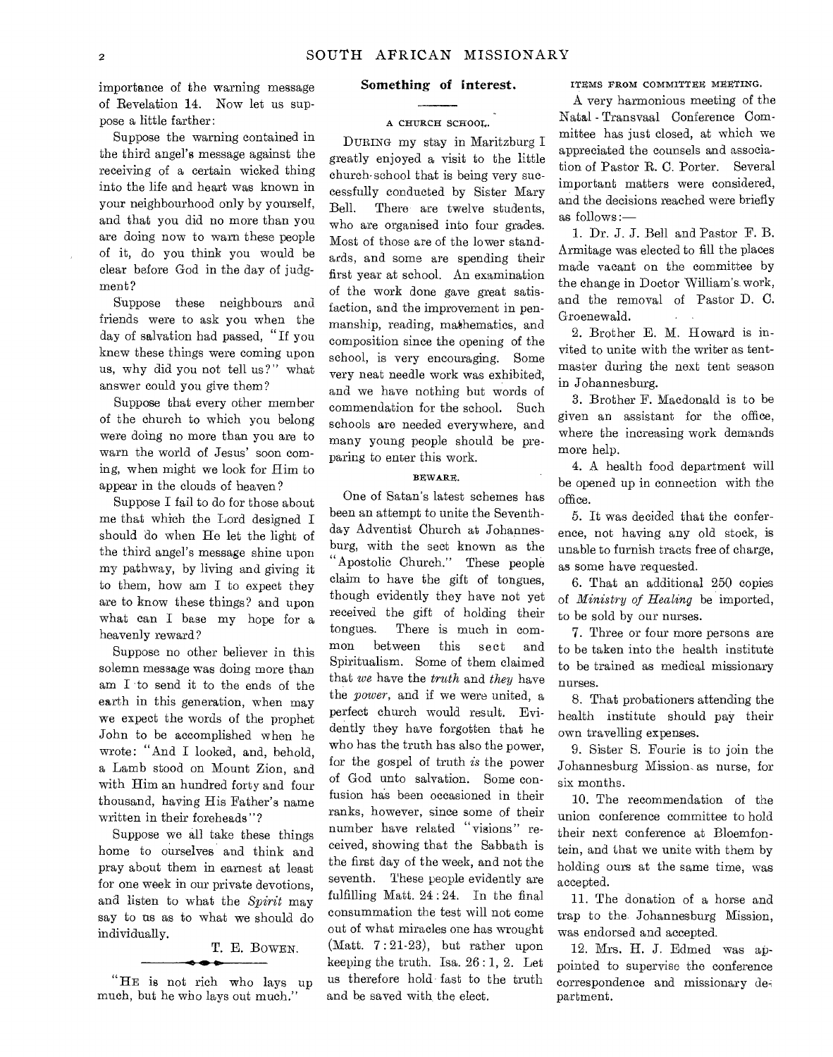importance of the warning message of Revelation 14. Now let us suppose a little farther:

Suppose the warning contained in the third angel's message against the receiving of a certain wicked thing into the life and heart was known in your neighbourhood only by yourself, and that you did no more than you are doing now to warn these people of it, do you think you would be clear before God in the day of judgment?

Suppose these neighbours and friends were to ask you when the day of salvation had passed, "If you knew these things were coming upon us, why did you not tell us?" what answer could you give them?

Suppose that every other member of the church to which you belong were doing no more than you are to warn the world of Jesus' soon coming, when might we look for Him to appear in the clouds of heaven ?

Suppose I fail to do for those about me that which the Lord designed I should do when He let the light of the third angel's message shine upon my pathway, by living and giving it to them, how am I to expect they are to know these things? and upon what can I base my hope for a heavenly reward?

Suppose no other believer in this solemn message was doing more than am I to send it to the ends of the earth in this generation, when may we expect the words of the prophet John to be accomplished when he wrote: "And I looked, and, behold, a Lamb stood on Mount Zion, and with Him an hundred forty and four thousand, having His Father's name written in their foreheads"?

Suppose we all take these things home to ourselves and think and pray about them in earnest at least for one week in our private devotions, and listen to what the *Spirit* may say to us as to what we should do individually.

# T. E. BOWEN.

"HE is not rich who lays up much, but he who lays out much."

# Something of interest.

# A CHURCH SCHOOL.

DURING my stay in Maritzburg greatly enjoyed a visit to the little church-school that is being very successfully conducted by Sister Mary Bell. There are twelve students, who are organised into four grades. Most of those are of the lower standards, and some are spending their first year at school. An examination of the work done gave great satisfaction, and the improvement in penmanship, reading, mathematics, and composition since the opening of the school, is very encouraging. Some very neat needle work was exhibited, and we have nothing but words of commendation for the school. Such schools are needed everywhere, and many young people should be preparing to enter this work.

#### BEWARE.

One of Satan's latest schemes has been an attempt to unite the Seventhday Adventist Church at Johannesburg, with the sect known as the "Apostolic Church." These people claim to have the gift of tongues, though evidently they have not yet received the gift of holding their tongues. There is much in common between this sect and Spiritualism. Some of them claimed that *we* have the *truth* and *they* have the *power,* and if we were united, a perfect church would result. Evidently they have forgotten that he who has the truth has also the power, for the gospel of truth *is* the power of God unto salvation. Some confusion has been occasioned in their ranks, however, since some of their number have related "visions" received, showing that the Sabbath is the first day of the week, and not the seventh. These people evidently are fulfilling Matt. 24 : 24. In the final consummation the test will not come out of what miracles one has wrought (Matt. 7 : 21-23), but rather upon keeping the truth. Isa.  $26:1, 2$ . Let us therefore hold fast to the truth and be saved with the elect.

## ITEMS FROM COMMITTEE MEETING.

A very harmonious meeting of the Natal - Transvaal Conference Committee has just closed, at which we appreciated the counsels and association of Pastor R. C. Porter. Several important matters were considered, and the decisions reached were briefly as  $follows :=$ 

1. Dr. J. J. Bell and Pastor F. B. Armitage was elected to fill the places made vacant on the committee by the change in Doctor William's. work, and the removal of Pastor D. C. Groenewald.

2. Brother E. M. Howard is invited to unite with the writer as tentmaster during the next tent season in Johannesburg.

3. Brother F. Macdonald is to be given an assistant for the office, where the increasing work demands more help.

4. A health food department will be opened up in connection with the office.

5. It was decided that the conference, not having any old stock, is unable to furnish tracts free of charge, as some have requested.

6. That an additional 250 copies of *Ministry of Healing* be imported, to be sold by our nurses.

7. Three or four more persons are to be taken into the health institute to be trained as medical missionary nurses.

8. That probationers attending the health institute should pay their own travelling expenses.

9. Sister S. Fourie is to join the Johannesburg Mission. as nurse, for six months.

10. The recommendation of the union conference committee to hold their next conference at Bloemfontein, and that we unite with them by holding ours at the same time, was accepted.

11. The donation of a horse and trap to the. Johannesburg Mission, was endorsed and accepted.

12. Mrs. H. J. Edmed was appointed to supervise the conference correspondence and missionary department.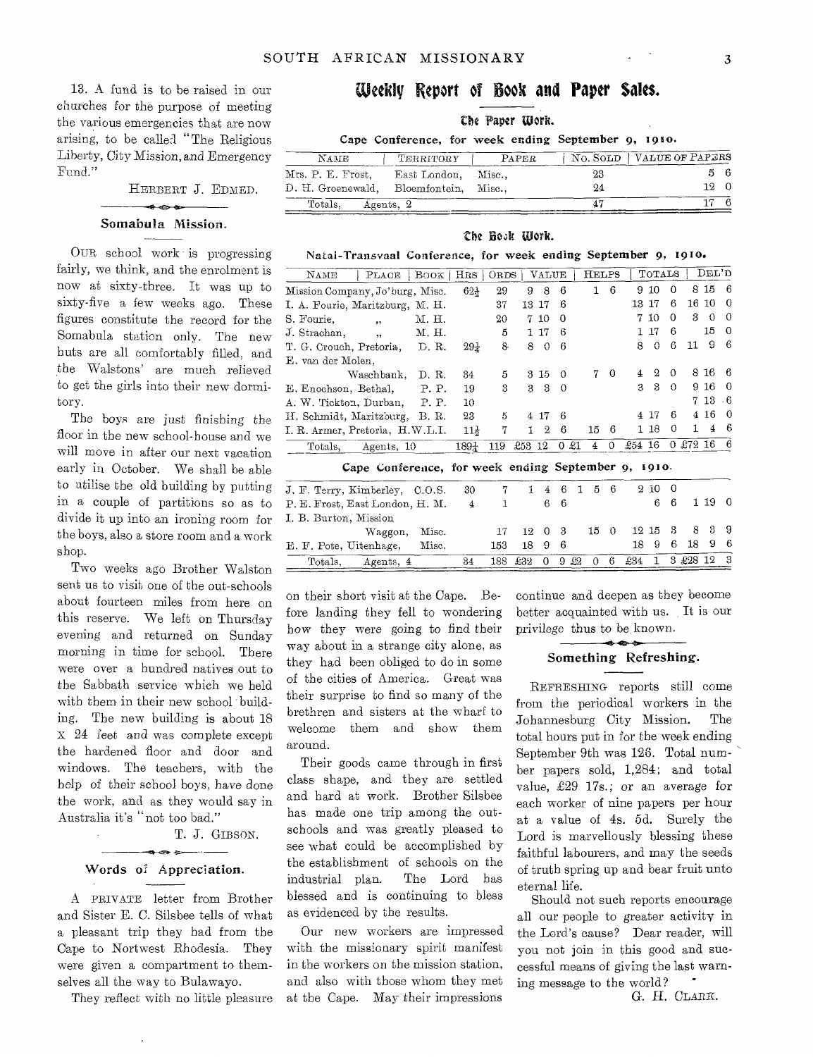13. A fund is to be raised in our churches for the purpose of meeting the various emergencies that are now arising, to be called "The Religious Liberty, *City* Mission, and Emergency Fund."

HERBERT J. EDMED.

# $\sim$   $\sim$ Somabula Mission.

OUR school work is progressing fairly, we think, and the enrolment is now at sixty-three. It was up to sixty-five a few weeks ago. These figures constitute the record for the Somabula station only. The new huts are all comfortably filled, and the Waistons' are much relieved to get the girls into their new dormitory.

The boys are just finishing the floor in the new school-house and we will move in after our next vacation early in October. We shall be able to utilise the old building by putting in a couple of partitions so as to divide it up into an ironing room for the boys, also a store room and a work E. F. Pote, Uitenhage, Misc. shop.

Two weeks ago Brother Walston sent us to visit one of the out-schools about fourteen miles from here on this reserve. We left on Thursday evening and returned on Sunday morning in time for school. There were over a hundred natives out to the Sabbath service which we held with them in their new school building. The new building is about 18 x 24 *feet* and was complete except the hardened floor and door and windows. The teachers, with the help of their school boys, have done the work, and as they would say in Australia it's "not too bad."

T. J. GIBSON.

# Words of Appreciation.

A PRIVATE letter from Brother and Sister E. C. Silsbee tells of what a pleasant trip they had from the Cape to Nortwest Rhodesia. They were given a compartment to themselves all the way to Bulawayo.

They reflect with no little pleasure

# Weekly Report of Book and Paper Saks.

# the Paper Work.

| Cape Conference, for week ending September 9, 1910. |  |
|-----------------------------------------------------|--|
|-----------------------------------------------------|--|

| NAME                                   | TERRITORY           | PAPER |    | NO. SOLD VALUE OF PAPERS |  |  |  |  |  |
|----------------------------------------|---------------------|-------|----|--------------------------|--|--|--|--|--|
| Mrs. P. E. Frost,                      | East London, Misc., |       | 23 |                          |  |  |  |  |  |
| D. H. Groenewald, Bloemfontein, Misc., |                     |       | 24 | 12 0                     |  |  |  |  |  |
| Totals.                                | Agents, 2           |       |    |                          |  |  |  |  |  |

#### The Hook Work.

#### Natal-Transvaal Conference, for week ending September 9, 191o.

| NAME<br>PLACE                        | $\text{Boox} \mid \text{HRS}$ |                  | ORDS | VALUE         |                 | <b>HELPS</b> |                |        | TOTALS   |             |          | DEL'D    |             |
|--------------------------------------|-------------------------------|------------------|------|---------------|-----------------|--------------|----------------|--------|----------|-------------|----------|----------|-------------|
| Mission Company, Jo'burg, Misc.      |                               | $62 +$           | 29   | 8<br>9        | 6               | 1            | 6              | 9      | 10       | 0           | 8        | 15       | - 6         |
| I. A. Fourie, Maritzburg, M. H.      |                               |                  | 37   | 13 17         | 6               |              |                | 13.    | 17       | 6           | 16       | 10       | 0           |
| S. Fourie,<br>$, \cdot$              | М. Н.                         |                  | 20   | 10<br>7.      | $\Omega$        |              |                |        | 7 10     | $\Omega$    | з        | $\Omega$ | $\Omega$    |
| J. Strachan,<br>$\ddot{\phantom{1}}$ | M. H.                         |                  | 5    | 1 17          | 6               |              |                |        | 17       | 6           |          | 15       | - 0         |
| T. G. Crouch, Pretoria.              | D.R.                          | $29\frac{1}{4}$  | 8.   | 8<br>$\theta$ | -6              |              |                | 8      | $\Omega$ | 6           | 11       | 9        | -6          |
| E, van der Molen.                    |                               |                  |      |               |                 |              |                |        |          |             |          |          |             |
| Waschbank.                           | D. R.                         | 34               | 5    | 3 15          | $\Omega$        | 7            | $\overline{0}$ | 4      | 2        | €           |          | 8 16 6   |             |
| E. Enochson, Bethal,                 | P.P.                          | 19               | 3    | 3<br>3        | $\theta$        |              |                | 3      | 3        | $\Omega$    |          | 9 16     | $\Omega$    |
| A. W. Tickton, Durban,               | P. P.                         | 10               |      |               |                 |              |                |        |          |             |          | 7 13     | - 6         |
| H. Schmidt, Maritzburg,              | B. R.                         | 23               | 5    | 4 17          | 6               |              |                |        | 4 17     | 6           |          | 4 16     | $^{\Omega}$ |
| I. R. Armer, Pretoria, H.W.L.I.      |                               | $11\bar{s}$      | 7    | $\Omega$      | 6               | 15           | - 6            |        | 118      | $\Omega$    | 1.       | 4        | 6           |
| Totals.<br>Agents, 10                |                               | $189\frac{1}{4}$ | 119  | £53 12        | -81<br>$\Omega$ | 4            | ∩              | £54 16 |          | $^{\Omega}$ | $£72$ 16 |          |             |

# Cape Conference, for week ending September 9, 191o.

| Totals.                         | Agents, 4                      |       | 34 |     | 188 £32 0 9 £2 0 6 £34 1 3 £28 12 3 |  |             |                      |        |        |      |  |
|---------------------------------|--------------------------------|-------|----|-----|-------------------------------------|--|-------------|----------------------|--------|--------|------|--|
| E. F. Pote, Uitenhage,          |                                | Misc. |    | 153 | 18 9 6                              |  |             |                      | 189    | - 6    | 1896 |  |
|                                 | Waggon,                        | Misc. |    |     | $17 \quad 12 \quad 0 \quad 3$       |  | 15 0        | $12\;15\;3\;8\;3\;9$ |        |        |      |  |
| I. B. Burton, Mission           |                                |       |    |     |                                     |  |             |                      |        |        |      |  |
| P. E. Frost, East London, H. M. |                                | 4     |    |     | 66                                  |  |             |                      |        | 661190 |      |  |
|                                 | J. F. Terry, Kimberley, C.O.S. |       | 30 |     |                                     |  | 1 4 6 1 5 6 |                      | 2 10 0 |        |      |  |

on their short visit at the Cape. Before landing they fell to wondering how they were going to find their way about in a strange city alone, as they had been obliged to do in some of the cities of America. Great was their surprise to find so many of the brethren and sisters at the wharf to welcome them and show them around.

Their goods came through in first class shape, and they are settled and hard at work. Brother Silsbee has made one trip among the outschools and was greatly pleased to see what could be accomplished by the establishment of schools on the industrial plan. The Lord has blessed and is continuing to bless as evidenced by the results.

Our new workers are impressed with the missionary spirit manifest in the workers on the mission station, and also with those whom they met at the Cape. May their impressions continue and deepen as they become better acquainted with us. It is our privilege thus to be known.

# Something Refreshing.

REFRESHING reports still come from the periodical workers in the Johannesburg City Mission. The total hours put in for the week ending September 9th was 126. Total number papers sold, 1,284; and total value, £29 17s.; or an average for each worker of nine papers per hour at a value of 4s. 5d. Surely the Lord is marvellously blessing these faithful labourers, and may the seeds of truth spring up and bear fruit unto eternal life.

Should not such reports encourage all our people to greater activity in the Lord's cause? Dear reader, will you not join in this good and successful means of giving the last warning message to the world?

G. H. CLARK.